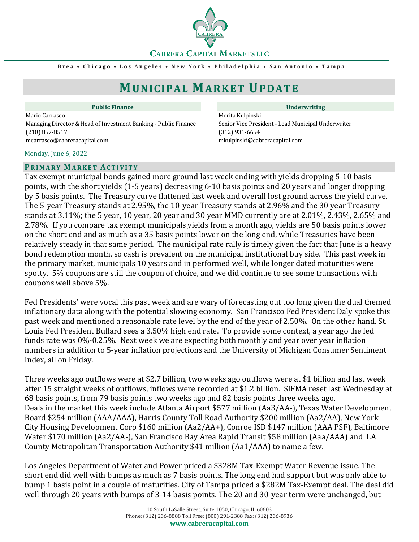**CABRERA CAPITAL MARKETS LLC** 

**B r e a • C h i c a g o • L o s A n g e l e s • N e w Y o r k • P h i l a d e l p h i a • S a n A n t o n i o • T a m p a**

# **MUNICIPAL MARKET UPDATE**

Mario Carrasco **Merita Kulpinski** Managing Director & Head of Investment Banking - Public Finance Senior Vice President - Lead Municipal Underwriter (210) 857-8517 (312) 931-6654 mcarrasco@cabreracapital.com mkulpinski@cabreracapital.com

#### Monday, June 6, 2022

### **PR I M A R Y MA R K E T AC T I V I T Y**

Tax exempt municipal bonds gained more ground last week ending with yields dropping 5-10 basis points, with the short yields (1-5 years) decreasing 6-10 basis points and 20 years and longer dropping by 5 basis points. The Treasury curve flattened last week and overall lost ground across the yield curve. The 5-year Treasury stands at 2.95%, the 10-year Treasury stands at 2.96% and the 30 year Treasury stands at 3.11%; the 5 year, 10 year, 20 year and 30 year MMD currently are at 2.01%, 2.43%, 2.65% and 2.78%. If you compare tax exempt municipals yields from a month ago, yields are 50 basis points lower on the short end and as much as a 35 basis points lower on the long end, while Treasuries have been relatively steady in that same period. The municipal rate rally is timely given the fact that June is a heavy bond redemption month, so cash is prevalent on the municipal institutional buy side. This past week in the primary market, municipals 10 years and in performed well, while longer dated maturities were spotty. 5% coupons are still the coupon of choice, and we did continue to see some transactions with coupons well above 5%. where the through the method of the state of 2-27 billion (Satela schonal method) and the state of 2022<br>
necessare Sterior Sheal diversions: The constraines with reader that the state of the 20 and 30-year term with the 20

Fed Presidents' were vocal this past week and are wary of forecasting out too long given the dual themed inflationary data along with the potential slowing economy. San Francisco Fed President Daly spoke this past week and mentioned a reasonable rate level by the end of the year of 2.50%. On the other hand, St. Louis Fed President Bullard sees a 3.50% high end rate. To provide some context, a year ago the fed funds rate was 0%-0.25%. Next week we are expecting both monthly and year over year inflation numbers in addition to 5-year inflation projections and the University of Michigan Consumer Sentiment Index, all on Friday.

Three weeks ago outflows were at \$2.7 billion, two weeks ago outflows were at \$1 billion and last week after 15 straight weeks of outflows, inflows were recorded at \$1.2 billion. SIFMA reset last Wednesday at 68 basis points, from 79 basis points two weeks ago and 82 basis points three weeks ago. Deals in the market this week include Atlanta Airport \$577 million (Aa3/AA-), Texas Water Development Board \$254 million (AAA/AAA), Harris County Toll Road Authority \$200 million (Aa2/AA), New York City Housing Development Corp \$160 million (Aa2/AA+), Conroe ISD \$147 million (AAA PSF), Baltimore Water \$170 million (Aa2/AA-), San Francisco Bay Area Rapid Transit \$58 million (Aaa/AAA) and LA County Metropolitan Transportation Authority \$41 million (Aa1/AAA) to name a few.

Los Angeles Department of Water and Power priced a \$328M Tax-Exempt Water Revenue issue. The short end did well with bumps as much as 7 basis points. The long end had support but was only able to bump 1 basis point in a couple of maturities. City of Tampa priced a \$282M Tax-Exempt deal. The deal did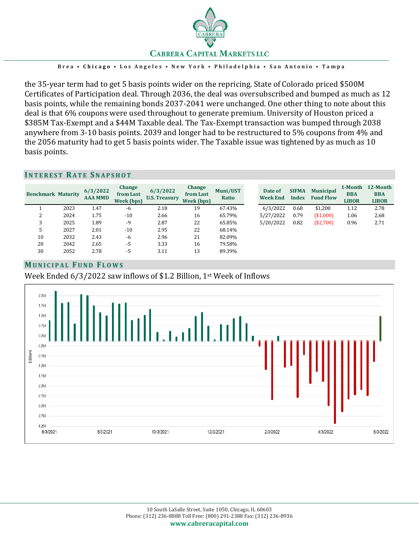

**B r e a • C h i c a g o • L o s A n g e l e s • N e w Y o r k • P h i l a d e l p h i a • S a n A n t o n i o • T a m p a**

the 35-year term had to get 5 basis points wider on the repricing. State of Colorado priced \$500M Certificates of Participation deal. Through 2036, the deal was oversubscribed and bumped as much as 12 basis points, while the remaining bonds 2037-2041 were unchanged. One other thing to note about this deal is that 6% coupons were used throughout to generate premium. University of Houston priced a \$385M Tax-Exempt and a \$44M Taxable deal. The Tax-Exempt transaction was bumped through 2038 anywhere from 3-10 basis points. 2039 and longer had to be restructured to 5% coupons from 4% and the 2056 maturity had to get 5 basis points wider. The Taxable issue was tightened by as much as 10 basis points.

#### **IN T E R E S T RA T E SN A P S H O T**

| <b>Benchmark Maturity</b> |      | 6/3/2022<br><b>AAA MMD</b> | Change<br>from Last<br>Week (bps) | 6/3/2022<br><b>U.S. Treasury</b> | Change<br>from Last<br>Week (bps) | Muni/UST<br>Ratio | Date of<br><b>Week End</b> | <b>SIFMA</b><br>Index | <b>Municipal</b><br><b>Fund Flow</b> | 1-Month<br><b>BBA</b><br><b>LIBOR</b> | 12-Month<br><b>BBA</b><br><b>LIBOR</b> |
|---------------------------|------|----------------------------|-----------------------------------|----------------------------------|-----------------------------------|-------------------|----------------------------|-----------------------|--------------------------------------|---------------------------------------|----------------------------------------|
|                           | 2023 | 1.47                       | $-6$                              | 2.18                             | 19                                | 67.43%            | 6/3/2022                   | 0.68                  | \$1,200                              | 1.12                                  | 2.78                                   |
| ▵                         | 2024 | 1.75                       | $-10$                             | 2.66                             | 16                                | 65.79%            | 5/27/2022                  | 0.79                  | (\$1,000)                            | 1.06                                  | 2.68                                   |
|                           | 2025 | 1.89                       | -9                                | 2.87                             | 22                                | 65.85%            | 5/20/2022                  | 0.82                  | (\$2,700)                            | 0.96                                  | 2.71                                   |
| 5                         | 2027 | 2.01                       | $-10$                             | 2.95                             | 22                                | 68.14%            |                            |                       |                                      |                                       |                                        |
| 10                        | 2032 | 2.43                       | -6                                | 2.96                             | 21                                | 82.09%            |                            |                       |                                      |                                       |                                        |
| 20                        | 2042 | 2.65                       | -5                                | 3.33                             | 16                                | 79.58%            |                            |                       |                                      |                                       |                                        |
| 30                        | 2052 | 2.78                       | -5                                | 3.11                             | 13                                | 89.39%            |                            |                       |                                      |                                       |                                        |

# **MU N I C I P A L FU N D FL O W S**

Week Ended 6/3/2022 saw inflows of \$1.2 Billion, 1st Week of Inflows

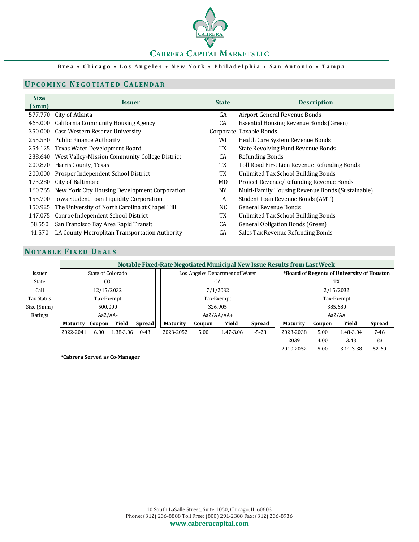

### **B r e a • C h i c a g o • L o s A n g e l e s • N e w Y o r k • P h i l a d e l p h i a • S a n A n t o n i o • T a m p a**

# **UP C O M I N G NE G O T I A T E D CA L E N D A R**

| <b>Size</b><br>(Smm) | Issuer                                                  | <b>State</b> | <b>Description</b>                               |
|----------------------|---------------------------------------------------------|--------------|--------------------------------------------------|
|                      | 577.770 City of Atlanta                                 | GA           | Airport General Revenue Bonds                    |
|                      | 465.000 California Community Housing Agency             | CA           | Essential Housing Revenue Bonds (Green)          |
|                      | 350.000 Case Western Reserve University                 |              | Corporate Taxable Bonds                          |
|                      | 255.530 Public Finance Authority                        | WI           | Health Care System Revenue Bonds                 |
|                      | 254.125 Texas Water Development Board                   | TX           | State Revolving Fund Revenue Bonds               |
|                      | 238.640 West Valley-Mission Community College District  | CA           | Refunding Bonds                                  |
|                      | 200.870 Harris County, Texas                            | TX           | Toll Road First Lien Revenue Refunding Bonds     |
|                      | 200.000 Prosper Independent School District             | TX           | Unlimited Tax School Building Bonds              |
|                      | 173.280 City of Baltimore                               | MD           | Project Revenue/Refunding Revenue Bonds          |
|                      | 160.765 New York City Housing Development Corporation   | <b>NY</b>    | Multi-Family Housing Revenue Bonds (Sustainable) |
|                      | 155.700 Iowa Student Loan Liquidity Corporation         | ΙA           | Student Loan Revenue Bonds (AMT)                 |
|                      | 150.925 The University of North Carolina at Chapel Hill | NC           | <b>General Revenue Bonds</b>                     |
|                      | 147.075 Conroe Independent School District              | TX           | Unlimited Tax School Building Bonds              |
| 58.550               | San Francisco Bay Area Rapid Transit                    | CA           | General Obligation Bonds (Green)                 |
| 41.570               | LA County Metroplitan Transportation Authority          | CA           | Sales Tax Revenue Refunding Bonds                |

# **NO T A B L E FI X E D DE A L S**

| <b>NOTABLE FIXED DEALS</b> |                                                                          |        |           |               |                                 |        |            |                                            |                 |        |           |               |
|----------------------------|--------------------------------------------------------------------------|--------|-----------|---------------|---------------------------------|--------|------------|--------------------------------------------|-----------------|--------|-----------|---------------|
|                            | Notable Fixed-Rate Negotiated Municipal New Issue Results from Last Week |        |           |               |                                 |        |            |                                            |                 |        |           |               |
| Issuer                     | State of Colorado                                                        |        |           |               | Los Angeles Department of Water |        |            | *Board of Regents of University of Houston |                 |        |           |               |
| State                      | C <sub>O</sub>                                                           |        |           | CA            |                                 |        |            | TX                                         |                 |        |           |               |
| Call                       | 12/15/2032                                                               |        |           | 7/1/2032      |                                 |        | 2/15/2032  |                                            |                 |        |           |               |
| <b>Tax Status</b>          | Tax-Exempt                                                               |        |           | Tax-Exempt    |                                 |        | Tax-Exempt |                                            |                 |        |           |               |
| Size (5mm)                 | 500.000                                                                  |        |           | 326.905       |                                 |        | 385.680    |                                            |                 |        |           |               |
| Ratings                    | $Aa2/AA$ -                                                               |        |           | $Aa2/AA/AA+$  |                                 |        | Aa2/AA     |                                            |                 |        |           |               |
|                            | Maturity                                                                 | Coupon | Yield     | <b>Spread</b> | Maturity                        | Coupon | Yield      | <b>Spread</b>                              | <b>Maturity</b> | Coupon | Yield     | <b>Spread</b> |
|                            | 2022-2041                                                                | 6.00   | 1.38-3.06 | $0 - 43$      | 2023-2052                       | 5.00   | 1.47-3.06  | $-5-28$                                    | 2023-2038       | 5.00   | 1.48-3.04 | $7 - 46$      |
|                            |                                                                          |        |           |               |                                 |        |            |                                            | 2039            | 4.00   | 3.43      | 83            |
|                            |                                                                          |        |           |               |                                 |        |            |                                            | 2040-2052       | 5.00   | 3.14-3.38 | $52 - 60$     |

**\*Cabrera Served as Co-Manager**